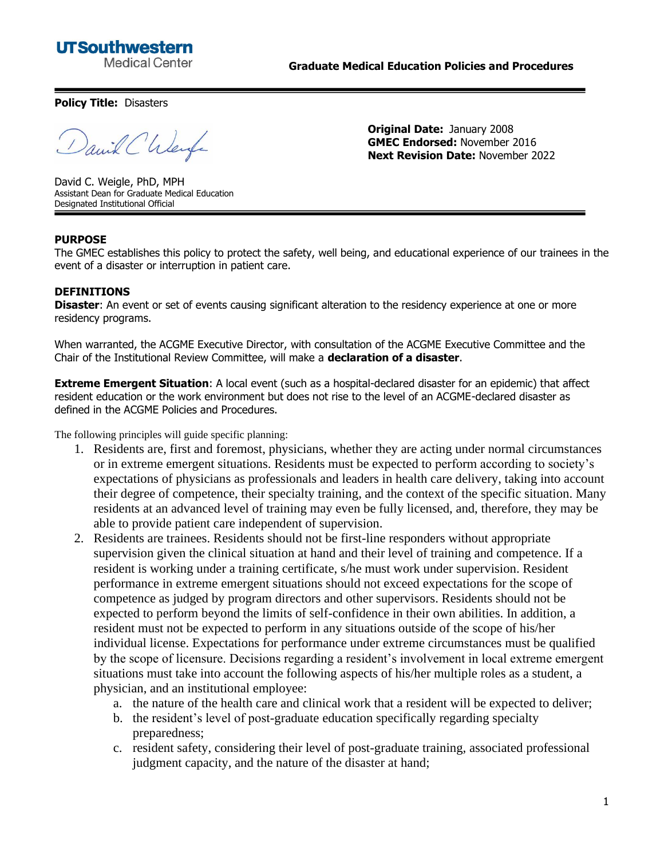## **UTSouthwestern Medical Center**

**Graduate Medical Education Policies and Procedures**

**Policy Title:** Disasters

anik Chlerge

**Original Date:** January 2008 **GMEC Endorsed:** November 2016 **Next Revision Date:** November 2022

David C. Weigle, PhD, MPH Assistant Dean for Graduate Medical Education Designated Institutional Official

## **PURPOSE**

The GMEC establishes this policy to protect the safety, well being, and educational experience of our trainees in the event of a disaster or interruption in patient care.

## **DEFINITIONS**

**Disaster:** An event or set of events causing significant alteration to the residency experience at one or more residency programs.

When warranted, the ACGME Executive Director, with consultation of the ACGME Executive Committee and the Chair of the Institutional Review Committee, will make a **declaration of a disaster**.

**Extreme Emergent Situation**: A local event (such as a hospital-declared disaster for an epidemic) that affect resident education or the work environment but does not rise to the level of an ACGME-declared disaster as defined in the ACGME Policies and Procedures.

The following principles will guide specific planning:

- 1. Residents are, first and foremost, physicians, whether they are acting under normal circumstances or in extreme emergent situations. Residents must be expected to perform according to society's expectations of physicians as professionals and leaders in health care delivery, taking into account their degree of competence, their specialty training, and the context of the specific situation. Many residents at an advanced level of training may even be fully licensed, and, therefore, they may be able to provide patient care independent of supervision.
- 2. Residents are trainees. Residents should not be first-line responders without appropriate supervision given the clinical situation at hand and their level of training and competence. If a resident is working under a training certificate, s/he must work under supervision. Resident performance in extreme emergent situations should not exceed expectations for the scope of competence as judged by program directors and other supervisors. Residents should not be expected to perform beyond the limits of self-confidence in their own abilities. In addition, a resident must not be expected to perform in any situations outside of the scope of his/her individual license. Expectations for performance under extreme circumstances must be qualified by the scope of licensure. Decisions regarding a resident's involvement in local extreme emergent situations must take into account the following aspects of his/her multiple roles as a student, a physician, and an institutional employee:
	- a. the nature of the health care and clinical work that a resident will be expected to deliver;
	- b. the resident's level of post-graduate education specifically regarding specialty preparedness;
	- c. resident safety, considering their level of post-graduate training, associated professional judgment capacity, and the nature of the disaster at hand;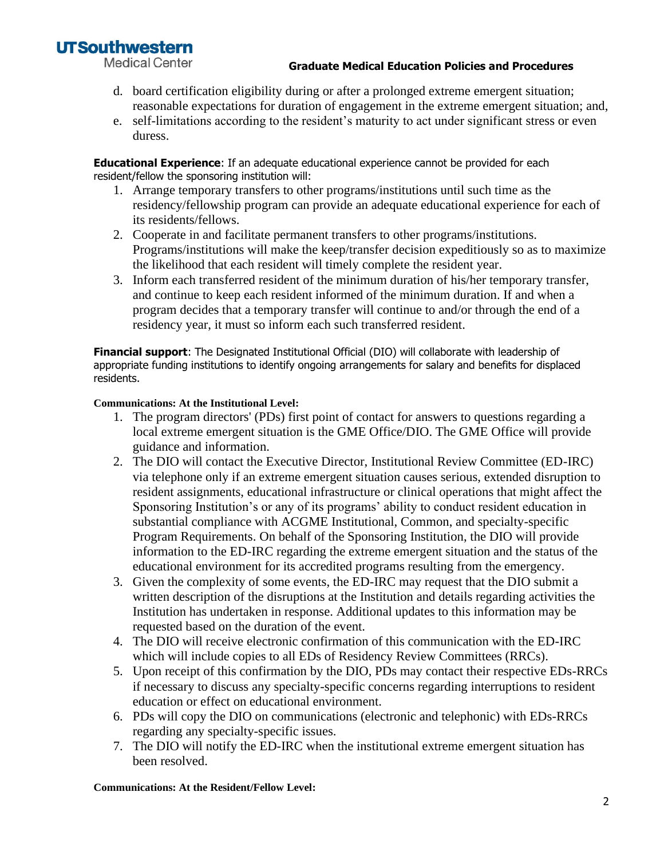# **UTSouthwestern**

**Medical Center** 

## **Graduate Medical Education Policies and Procedures**

- d. board certification eligibility during or after a prolonged extreme emergent situation; reasonable expectations for duration of engagement in the extreme emergent situation; and,
- e. self-limitations according to the resident's maturity to act under significant stress or even duress.

**Educational Experience**: If an adequate educational experience cannot be provided for each resident/fellow the sponsoring institution will:

- 1. Arrange temporary transfers to other programs/institutions until such time as the residency/fellowship program can provide an adequate educational experience for each of its residents/fellows.
- 2. Cooperate in and facilitate permanent transfers to other programs/institutions. Programs/institutions will make the keep/transfer decision expeditiously so as to maximize the likelihood that each resident will timely complete the resident year.
- 3. Inform each transferred resident of the minimum duration of his/her temporary transfer, and continue to keep each resident informed of the minimum duration. If and when a program decides that a temporary transfer will continue to and/or through the end of a residency year, it must so inform each such transferred resident.

**Financial support**: The Designated Institutional Official (DIO) will collaborate with leadership of appropriate funding institutions to identify ongoing arrangements for salary and benefits for displaced residents.

### **Communications: At the Institutional Level:**

- 1. The program directors' (PDs) first point of contact for answers to questions regarding a local extreme emergent situation is the GME Office/DIO. The GME Office will provide guidance and information.
- 2. The DIO will contact the Executive Director, Institutional Review Committee (ED-IRC) via telephone only if an extreme emergent situation causes serious, extended disruption to resident assignments, educational infrastructure or clinical operations that might affect the Sponsoring Institution's or any of its programs' ability to conduct resident education in substantial compliance with ACGME Institutional, Common, and specialty-specific Program Requirements. On behalf of the Sponsoring Institution, the DIO will provide information to the ED-IRC regarding the extreme emergent situation and the status of the educational environment for its accredited programs resulting from the emergency.
- 3. Given the complexity of some events, the ED-IRC may request that the DIO submit a written description of the disruptions at the Institution and details regarding activities the Institution has undertaken in response. Additional updates to this information may be requested based on the duration of the event.
- 4. The DIO will receive electronic confirmation of this communication with the ED-IRC which will include copies to all EDs of Residency Review Committees (RRCs).
- 5. Upon receipt of this confirmation by the DIO, PDs may contact their respective EDs-RRCs if necessary to discuss any specialty-specific concerns regarding interruptions to resident education or effect on educational environment.
- 6. PDs will copy the DIO on communications (electronic and telephonic) with EDs-RRCs regarding any specialty-specific issues.
- 7. The DIO will notify the ED-IRC when the institutional extreme emergent situation has been resolved.

### **Communications: At the Resident/Fellow Level:**